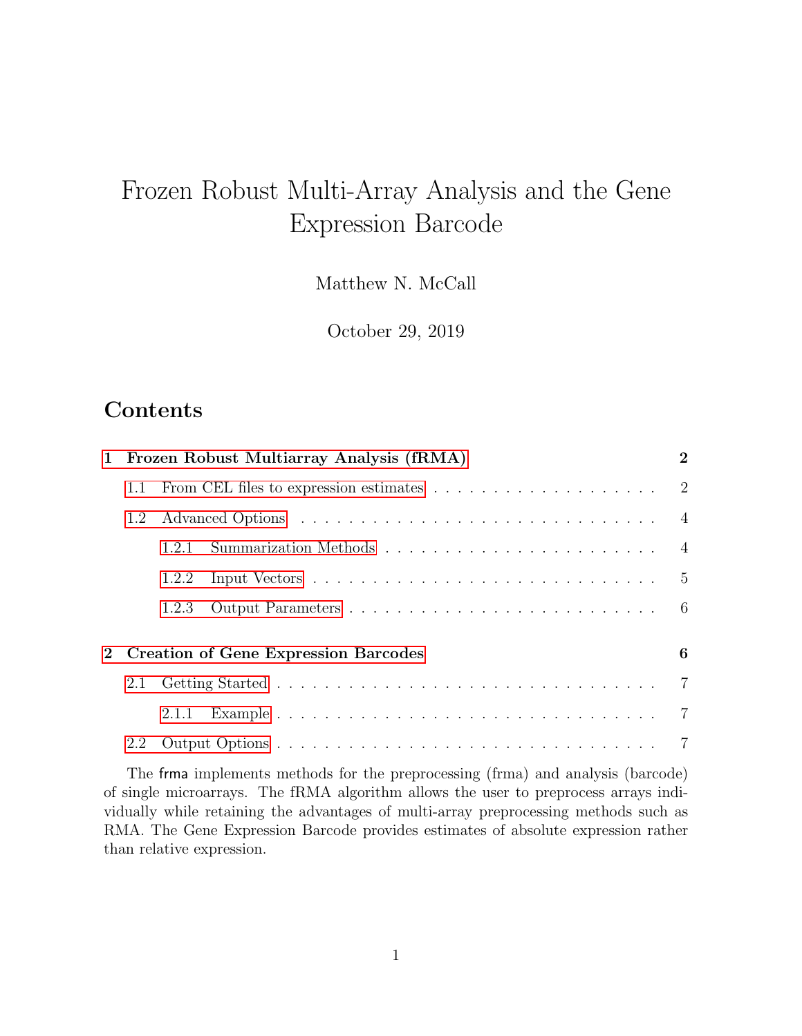# Frozen Robust Multi-Array Analysis and the Gene Expression Barcode

Matthew N. McCall

October 29, 2019

# **Contents**

|             | 1 Frozen Robust Multiarray Analysis (fRMA)                                                  |       |  |  |  |
|-------------|---------------------------------------------------------------------------------------------|-------|--|--|--|
|             | From CEL files to expression estimates $\ldots \ldots \ldots \ldots \ldots \ldots$ 2<br>1.1 |       |  |  |  |
|             | 1.2                                                                                         |       |  |  |  |
|             |                                                                                             | 1.2.1 |  |  |  |
|             |                                                                                             | 1.2.2 |  |  |  |
|             |                                                                                             | 1.2.3 |  |  |  |
| $2^{\circ}$ | <b>Creation of Gene Expression Barcodes</b>                                                 |       |  |  |  |
|             |                                                                                             |       |  |  |  |
|             |                                                                                             |       |  |  |  |
|             | 2.2                                                                                         |       |  |  |  |

The frma implements methods for the preprocessing (frma) and analysis (barcode) of single microarrays. The fRMA algorithm allows the user to preprocess arrays individually while retaining the advantages of multi-array preprocessing methods such as RMA. The Gene Expression Barcode provides estimates of absolute expression rather than relative expression.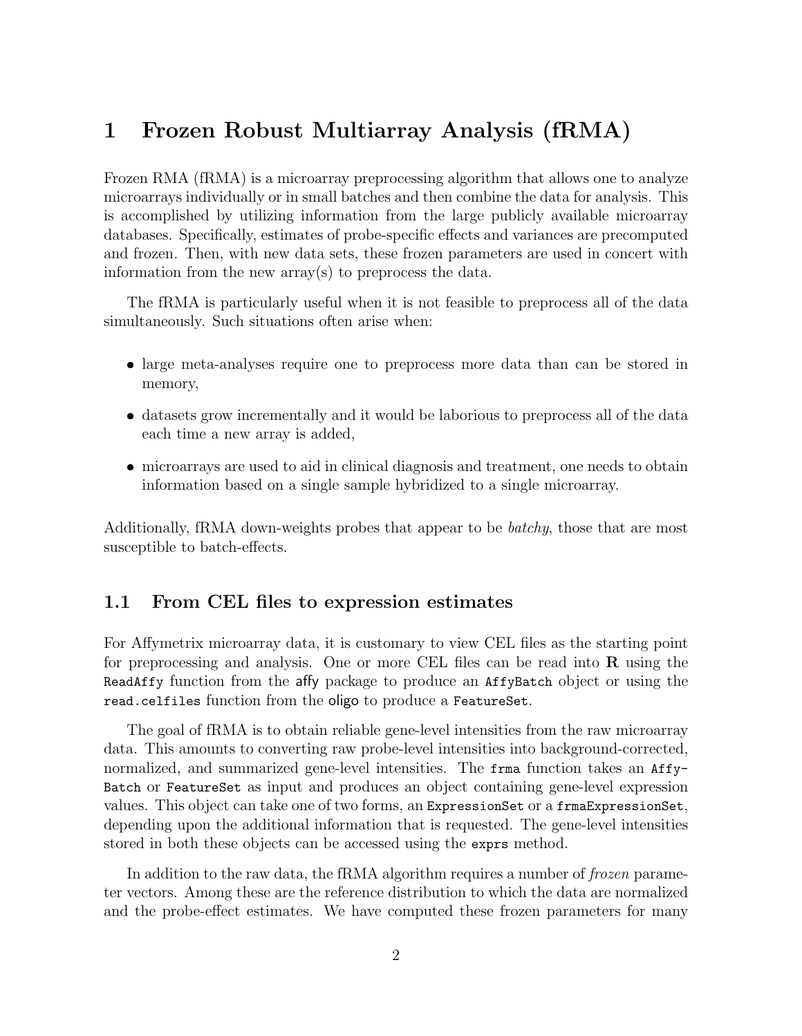# <span id="page-1-0"></span>1 Frozen Robust Multiarray Analysis (fRMA)

Frozen RMA (fRMA) is a microarray preprocessing algorithm that allows one to analyze microarrays individually or in small batches and then combine the data for analysis. This is accomplished by utilizing information from the large publicly available microarray databases. Specifically, estimates of probe-specific effects and variances are precomputed and frozen. Then, with new data sets, these frozen parameters are used in concert with information from the new array(s) to preprocess the data.

The fRMA is particularly useful when it is not feasible to preprocess all of the data simultaneously. Such situations often arise when:

- large meta-analyses require one to preprocess more data than can be stored in memory,
- datasets grow incrementally and it would be laborious to preprocess all of the data each time a new array is added,
- microarrays are used to aid in clinical diagnosis and treatment, one needs to obtain information based on a single sample hybridized to a single microarray.

Additionally, fRMA down-weights probes that appear to be batchy, those that are most susceptible to batch-effects.

### <span id="page-1-1"></span>1.1 From CEL files to expression estimates

For Affymetrix microarray data, it is customary to view CEL files as the starting point for preprocessing and analysis. One or more CEL files can be read into  $\bf{R}$  using the ReadAffy function from the affy package to produce an AffyBatch object or using the read.celfiles function from the oligo to produce a FeatureSet.

The goal of fRMA is to obtain reliable gene-level intensities from the raw microarray data. This amounts to converting raw probe-level intensities into background-corrected, normalized, and summarized gene-level intensities. The frma function takes an Affy-Batch or FeatureSet as input and produces an object containing gene-level expression values. This object can take one of two forms, an ExpressionSet or a frmaExpressionSet, depending upon the additional information that is requested. The gene-level intensities stored in both these objects can be accessed using the exprs method.

In addition to the raw data, the fRMA algorithm requires a number of *frozen* parameter vectors. Among these are the reference distribution to which the data are normalized and the probe-effect estimates. We have computed these frozen parameters for many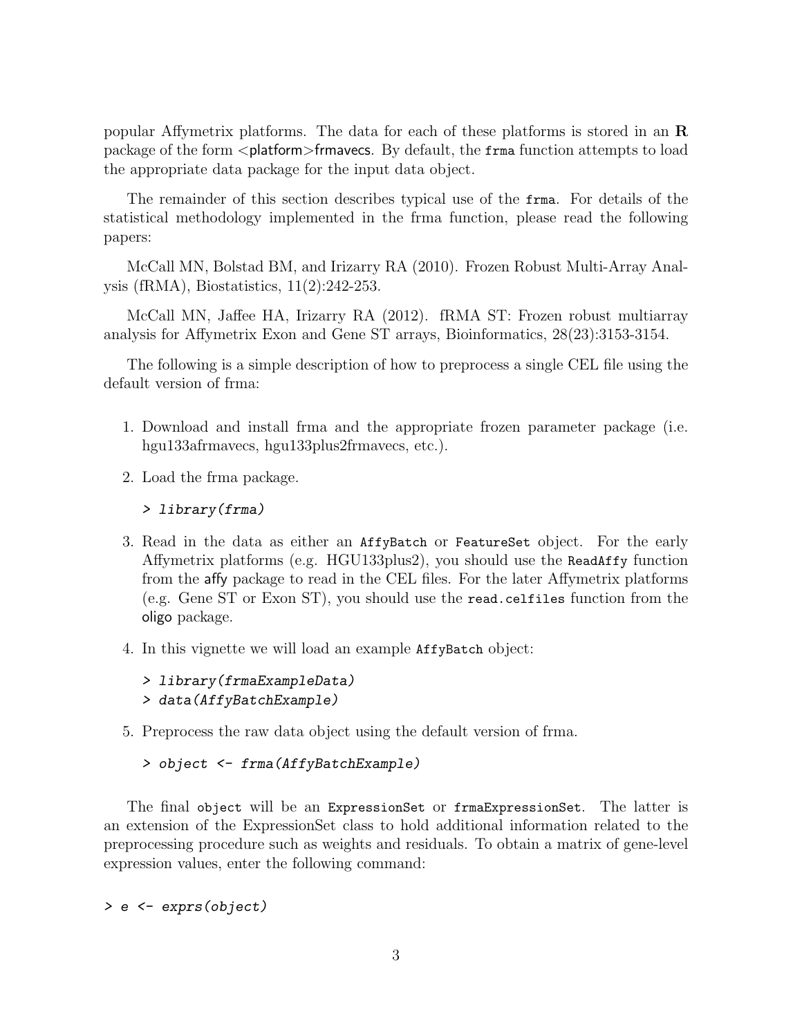popular Affymetrix platforms. The data for each of these platforms is stored in an  $\bf{R}$ package of the form  $\alpha$  splatform>frmavecs. By default, the frma function attempts to load the appropriate data package for the input data object.

The remainder of this section describes typical use of the frma. For details of the statistical methodology implemented in the frma function, please read the following papers:

McCall MN, Bolstad BM, and Irizarry RA (2010). Frozen Robust Multi-Array Analysis (fRMA), Biostatistics, 11(2):242-253.

McCall MN, Jaffee HA, Irizarry RA (2012). fRMA ST: Frozen robust multiarray analysis for Affymetrix Exon and Gene ST arrays, Bioinformatics, 28(23):3153-3154.

The following is a simple description of how to preprocess a single CEL file using the default version of frma:

- 1. Download and install frma and the appropriate frozen parameter package (i.e. hgu133afrmavecs, hgu133plus2frmavecs, etc.).
- 2. Load the frma package.

```
> library(frma)
```
- 3. Read in the data as either an AffyBatch or FeatureSet object. For the early Affymetrix platforms (e.g. HGU133plus2), you should use the ReadAffy function from the affy package to read in the CEL files. For the later Affymetrix platforms (e.g. Gene ST or Exon ST), you should use the read.celfiles function from the oligo package.
- 4. In this vignette we will load an example AffyBatch object:

```
> library(frmaExampleData)
> data(AffyBatchExample)
```
5. Preprocess the raw data object using the default version of frma.

```
> object <- frma(AffyBatchExample)
```
The final object will be an ExpressionSet or frmaExpressionSet. The latter is an extension of the ExpressionSet class to hold additional information related to the preprocessing procedure such as weights and residuals. To obtain a matrix of gene-level expression values, enter the following command:

> e <- exprs(object)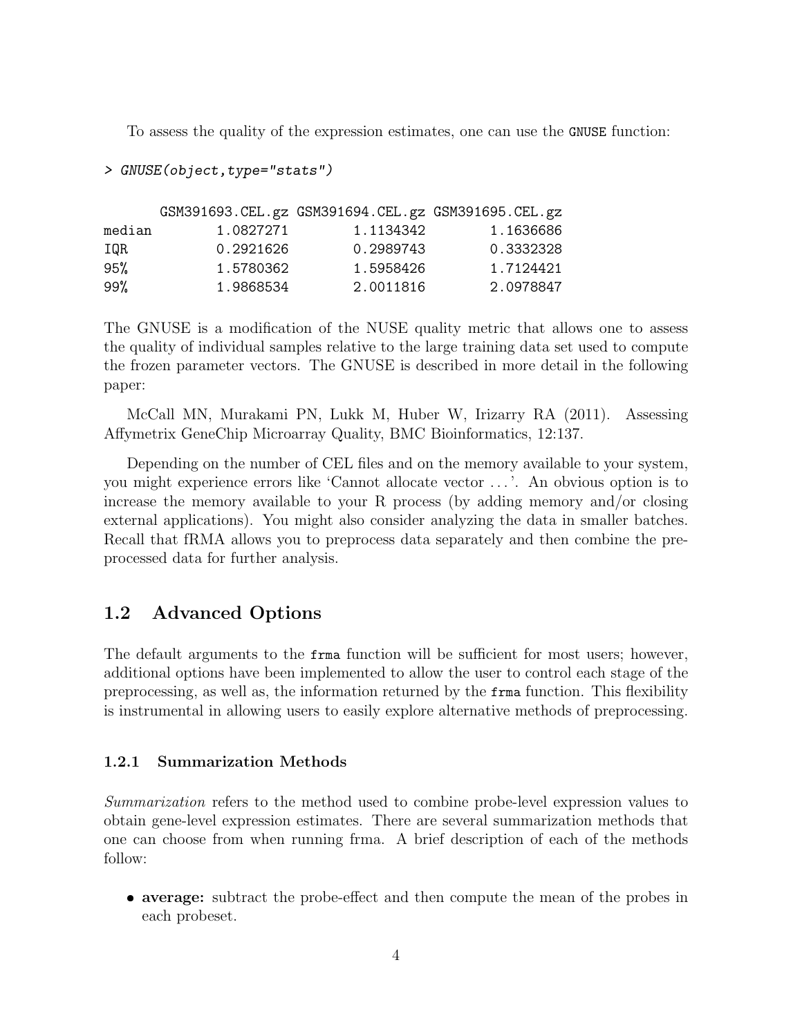To assess the quality of the expression estimates, one can use the GNUSE function:

> GNUSE(object,type="stats")

|        |           | GSM391693. CEL. gz GSM391694. CEL. gz GSM391695. CEL. gz |           |
|--------|-----------|----------------------------------------------------------|-----------|
| median | 1.0827271 | 1.1134342                                                | 1.1636686 |
| IOR    | 0.2921626 | 0.2989743                                                | 0.3332328 |
| 95%    | 1.5780362 | 1.5958426                                                | 1.7124421 |
| 99%    | 1.9868534 | 2.0011816                                                | 2.0978847 |

The GNUSE is a modification of the NUSE quality metric that allows one to assess the quality of individual samples relative to the large training data set used to compute the frozen parameter vectors. The GNUSE is described in more detail in the following paper:

McCall MN, Murakami PN, Lukk M, Huber W, Irizarry RA (2011). Assessing Affymetrix GeneChip Microarray Quality, BMC Bioinformatics, 12:137.

Depending on the number of CEL files and on the memory available to your system, you might experience errors like 'Cannot allocate vector . . . '. An obvious option is to increase the memory available to your R process (by adding memory and/or closing external applications). You might also consider analyzing the data in smaller batches. Recall that fRMA allows you to preprocess data separately and then combine the preprocessed data for further analysis.

## <span id="page-3-0"></span>1.2 Advanced Options

The default arguments to the frma function will be sufficient for most users; however, additional options have been implemented to allow the user to control each stage of the preprocessing, as well as, the information returned by the frma function. This flexibility is instrumental in allowing users to easily explore alternative methods of preprocessing.

#### <span id="page-3-1"></span>1.2.1 Summarization Methods

Summarization refers to the method used to combine probe-level expression values to obtain gene-level expression estimates. There are several summarization methods that one can choose from when running frma. A brief description of each of the methods follow:

 average: subtract the probe-effect and then compute the mean of the probes in each probeset.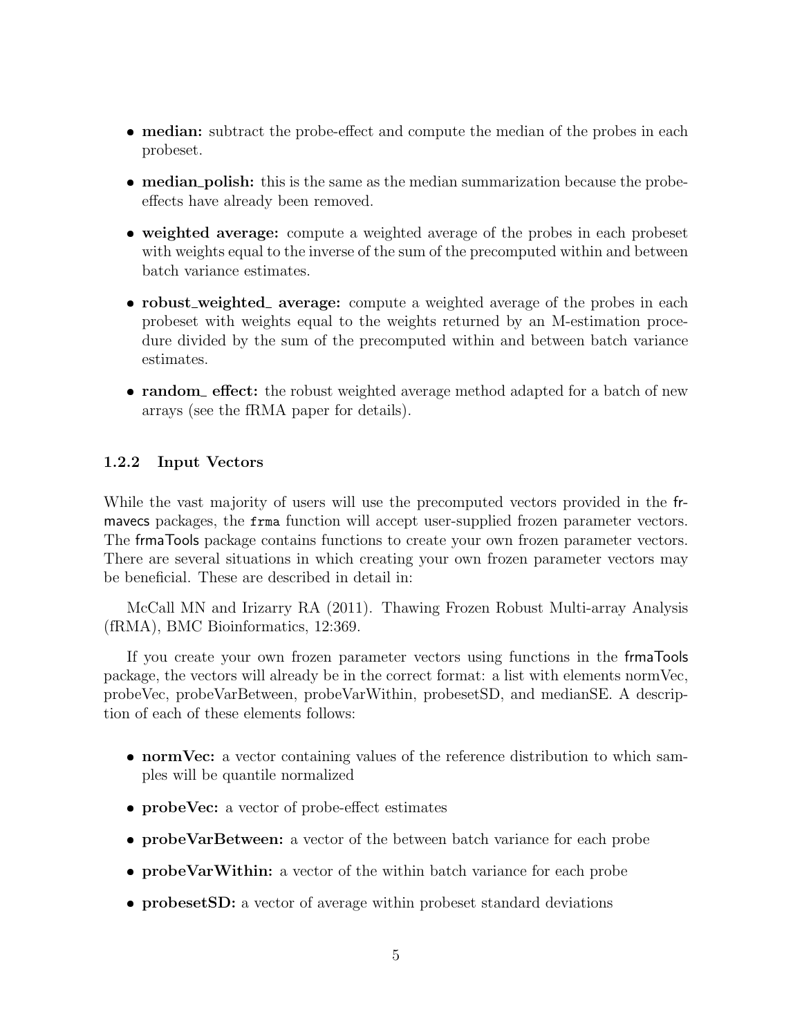- median: subtract the probe-effect and compute the median of the probes in each probeset.
- median polish: this is the same as the median summarization because the probeeffects have already been removed.
- weighted average: compute a weighted average of the probes in each probeset with weights equal to the inverse of the sum of the precomputed within and between batch variance estimates.
- robust\_weighted\_ average: compute a weighted average of the probes in each probeset with weights equal to the weights returned by an M-estimation procedure divided by the sum of the precomputed within and between batch variance estimates.
- random effect: the robust weighted average method adapted for a batch of new arrays (see the fRMA paper for details).

#### <span id="page-4-0"></span>1.2.2 Input Vectors

While the vast majority of users will use the precomputed vectors provided in the frmavecs packages, the frma function will accept user-supplied frozen parameter vectors. The frmaTools package contains functions to create your own frozen parameter vectors. There are several situations in which creating your own frozen parameter vectors may be beneficial. These are described in detail in:

McCall MN and Irizarry RA (2011). Thawing Frozen Robust Multi-array Analysis (fRMA), BMC Bioinformatics, 12:369.

If you create your own frozen parameter vectors using functions in the frmaTools package, the vectors will already be in the correct format: a list with elements normVec, probeVec, probeVarBetween, probeVarWithin, probesetSD, and medianSE. A description of each of these elements follows:

- normVec: a vector containing values of the reference distribution to which samples will be quantile normalized
- probeVec: a vector of probe-effect estimates
- probeVarBetween: a vector of the between batch variance for each probe
- probeVarWithin: a vector of the within batch variance for each probe
- probesetSD: a vector of average within probeset standard deviations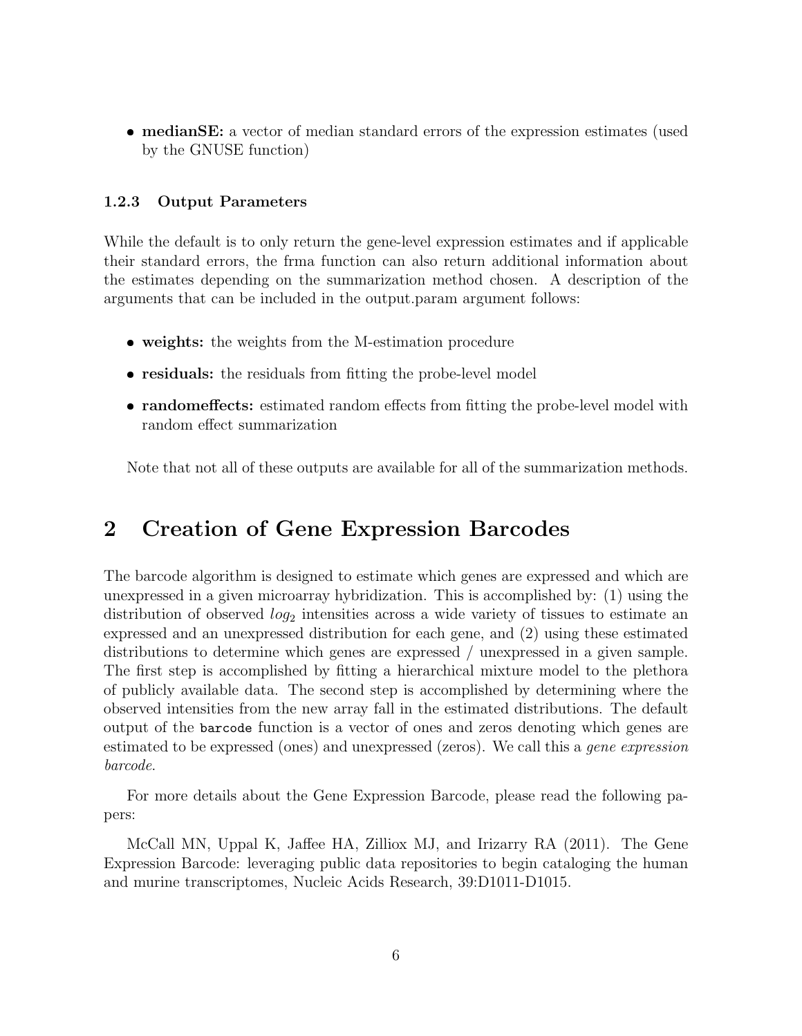medianSE: a vector of median standard errors of the expression estimates (used by the GNUSE function)

#### <span id="page-5-0"></span>1.2.3 Output Parameters

While the default is to only return the gene-level expression estimates and if applicable their standard errors, the frma function can also return additional information about the estimates depending on the summarization method chosen. A description of the arguments that can be included in the output.param argument follows:

- weights: the weights from the M-estimation procedure
- residuals: the residuals from fitting the probe-level model
- randomeffects: estimated random effects from fitting the probe-level model with random effect summarization

Note that not all of these outputs are available for all of the summarization methods.

# <span id="page-5-1"></span>2 Creation of Gene Expression Barcodes

The barcode algorithm is designed to estimate which genes are expressed and which are unexpressed in a given microarray hybridization. This is accomplished by: (1) using the distribution of observed  $log_2$  intensities across a wide variety of tissues to estimate an expressed and an unexpressed distribution for each gene, and (2) using these estimated distributions to determine which genes are expressed / unexpressed in a given sample. The first step is accomplished by fitting a hierarchical mixture model to the plethora of publicly available data. The second step is accomplished by determining where the observed intensities from the new array fall in the estimated distributions. The default output of the barcode function is a vector of ones and zeros denoting which genes are estimated to be expressed (ones) and unexpressed (zeros). We call this a *gene expression* barcode.

For more details about the Gene Expression Barcode, please read the following papers:

McCall MN, Uppal K, Jaffee HA, Zilliox MJ, and Irizarry RA (2011). The Gene Expression Barcode: leveraging public data repositories to begin cataloging the human and murine transcriptomes, Nucleic Acids Research, 39:D1011-D1015.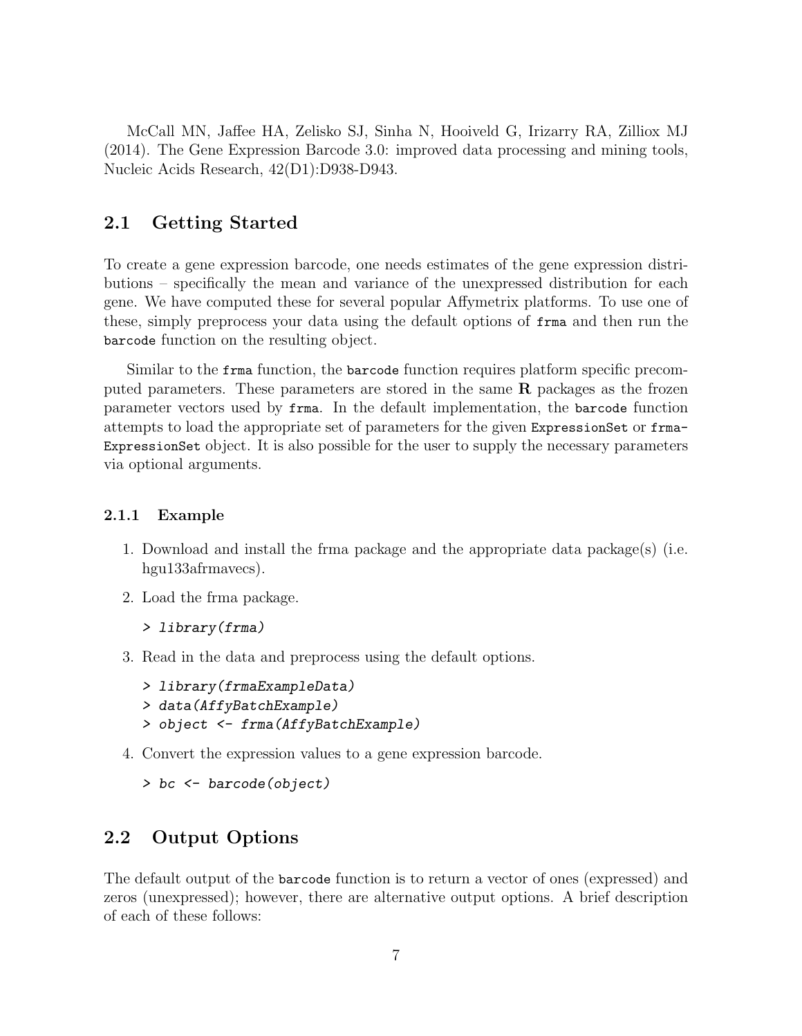McCall MN, Jaffee HA, Zelisko SJ, Sinha N, Hooiveld G, Irizarry RA, Zilliox MJ (2014). The Gene Expression Barcode 3.0: improved data processing and mining tools, Nucleic Acids Research, 42(D1):D938-D943.

### <span id="page-6-0"></span>2.1 Getting Started

To create a gene expression barcode, one needs estimates of the gene expression distributions – specifically the mean and variance of the unexpressed distribution for each gene. We have computed these for several popular Affymetrix platforms. To use one of these, simply preprocess your data using the default options of frma and then run the barcode function on the resulting object.

Similar to the frma function, the barcode function requires platform specific precomputed parameters. These parameters are stored in the same R packages as the frozen parameter vectors used by frma. In the default implementation, the barcode function attempts to load the appropriate set of parameters for the given ExpressionSet or frma-ExpressionSet object. It is also possible for the user to supply the necessary parameters via optional arguments.

#### <span id="page-6-1"></span>2.1.1 Example

- 1. Download and install the frma package and the appropriate data package(s) (i.e. hgu133afrmavecs).
- 2. Load the frma package.

```
> library(frma)
```
3. Read in the data and preprocess using the default options.

```
> library(frmaExampleData)
> data(AffyBatchExample)
```
- > object <- frma(AffyBatchExample)
- 4. Convert the expression values to a gene expression barcode.

```
> bc <- barcode(object)
```
### <span id="page-6-2"></span>2.2 Output Options

The default output of the barcode function is to return a vector of ones (expressed) and zeros (unexpressed); however, there are alternative output options. A brief description of each of these follows: